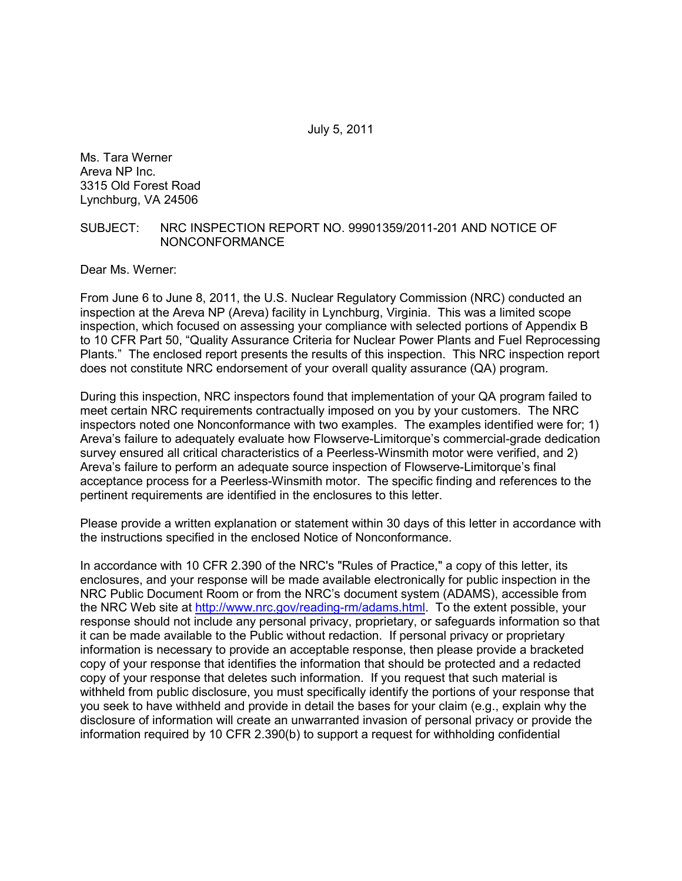July 5, 2011

Ms. Tara Werner Areva NP Inc. 3315 Old Forest Road Lynchburg, VA 24506

## SUBJECT: NRC INSPECTION REPORT NO. 99901359/2011-201 AND NOTICE OF NONCONFORMANCE

Dear Ms. Werner:

From June 6 to June 8, 2011, the U.S. Nuclear Regulatory Commission (NRC) conducted an inspection at the Areva NP (Areva) facility in Lynchburg, Virginia. This was a limited scope inspection, which focused on assessing your compliance with selected portions of Appendix B to 10 CFR Part 50, "Quality Assurance Criteria for Nuclear Power Plants and Fuel Reprocessing Plants." The enclosed report presents the results of this inspection. This NRC inspection report does not constitute NRC endorsement of your overall quality assurance (QA) program.

During this inspection, NRC inspectors found that implementation of your QA program failed to meet certain NRC requirements contractually imposed on you by your customers. The NRC inspectors noted one Nonconformance with two examples. The examples identified were for; 1) Areva's failure to adequately evaluate how Flowserve-Limitorque's commercial-grade dedication survey ensured all critical characteristics of a Peerless-Winsmith motor were verified, and 2) Areva's failure to perform an adequate source inspection of Flowserve-Limitorque's final acceptance process for a Peerless-Winsmith motor. The specific finding and references to the pertinent requirements are identified in the enclosures to this letter.

Please provide a written explanation or statement within 30 days of this letter in accordance with the instructions specified in the enclosed Notice of Nonconformance.

In accordance with 10 CFR 2.390 of the NRC's "Rules of Practice," a copy of this letter, its enclosures, and your response will be made available electronically for public inspection in the NRC Public Document Room or from the NRC's document system (ADAMS), accessible from the NRC Web site at http://www.nrc.gov/reading-rm/adams.html. To the extent possible, your response should not include any personal privacy, proprietary, or safeguards information so that it can be made available to the Public without redaction. If personal privacy or proprietary information is necessary to provide an acceptable response, then please provide a bracketed copy of your response that identifies the information that should be protected and a redacted copy of your response that deletes such information. If you request that such material is withheld from public disclosure, you must specifically identify the portions of your response that you seek to have withheld and provide in detail the bases for your claim (e.g., explain why the disclosure of information will create an unwarranted invasion of personal privacy or provide the information required by 10 CFR 2.390(b) to support a request for withholding confidential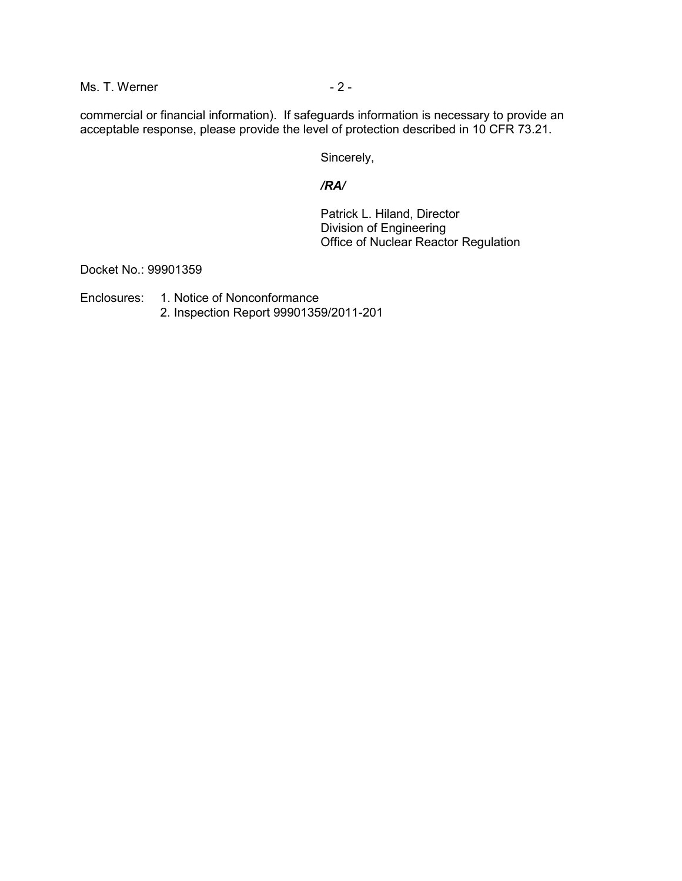$Ms. T. Werner$   $-2 -$ 

commercial or financial information). If safeguards information is necessary to provide an acceptable response, please provide the level of protection described in 10 CFR 73.21.

Sincerely,

## */RA/*

 Patrick L. Hiland, Director Division of Engineering Office of Nuclear Reactor Regulation

Docket No.: 99901359

Enclosures: 1. Notice of Nonconformance

2. Inspection Report 99901359/2011-201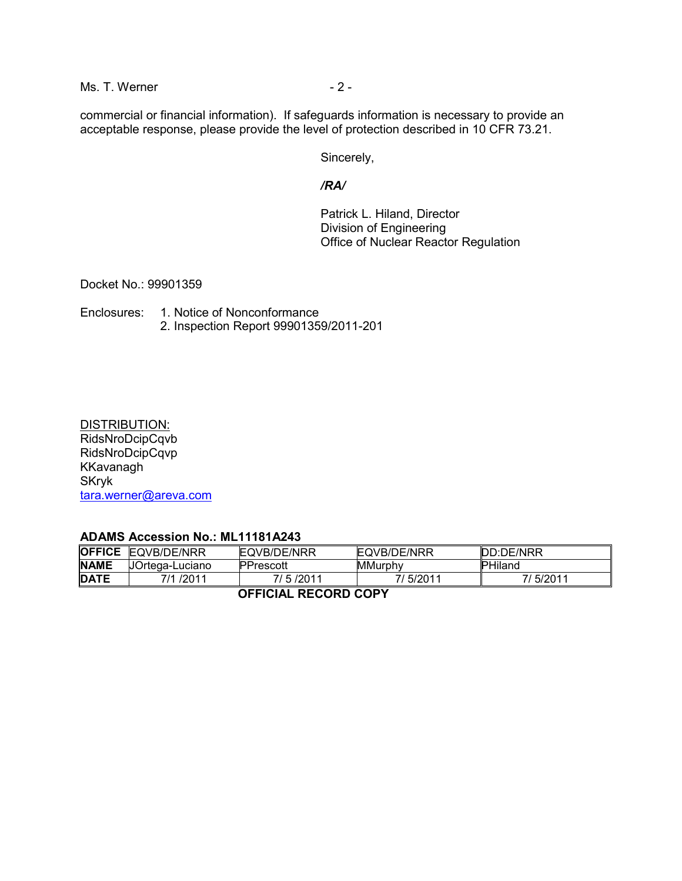$Ms. T. Werner$   $-2 -$ 

commercial or financial information). If safeguards information is necessary to provide an acceptable response, please provide the level of protection described in 10 CFR 73.21.

Sincerely,

## */RA/*

 Patrick L. Hiland, Director Division of Engineering Office of Nuclear Reactor Regulation

Docket No.: 99901359

Enclosures: 1. Notice of Nonconformance 2. Inspection Report 99901359/2011-201

## DISTRIBUTION:

RidsNroDcipCqvb RidsNroDcipCqvp KKavanagh SKryk tara.werner@areva.com

## **ADAMS Accession No.: ML11181A243**

| <b>OFFICE</b><br>EQVB/DE/NRR<br>EQVB/DE/NRR<br>DD:DE/NRR<br><b>EQVB/DE/NRR</b><br><b>NAME</b><br>UOrtega-Luciano<br>PHiland<br><b>PPrescott</b><br>MMurphy<br><b>DATE</b><br>7/ 5/2011<br>7/5/2011<br>7/ 5/2011<br>7/1 /2011 |  |  |  |  |  |  |  |  |
|------------------------------------------------------------------------------------------------------------------------------------------------------------------------------------------------------------------------------|--|--|--|--|--|--|--|--|
|                                                                                                                                                                                                                              |  |  |  |  |  |  |  |  |
|                                                                                                                                                                                                                              |  |  |  |  |  |  |  |  |
|                                                                                                                                                                                                                              |  |  |  |  |  |  |  |  |

 **OFFICIAL RECORD COPY**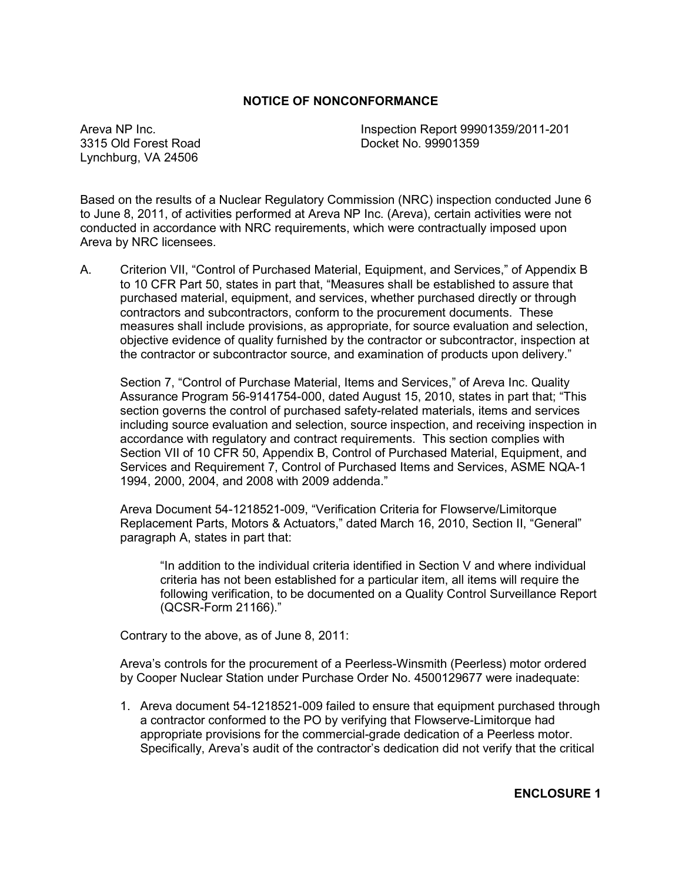## **NOTICE OF NONCONFORMANCE**

3315 Old Forest Road Docket No. 99901359 Lynchburg, VA 24506

Areva NP Inc. **Inspection Report 99901359/2011-201** 

Based on the results of a Nuclear Regulatory Commission (NRC) inspection conducted June 6 to June 8, 2011, of activities performed at Areva NP Inc. (Areva), certain activities were not conducted in accordance with NRC requirements, which were contractually imposed upon Areva by NRC licensees.

A. Criterion VII, "Control of Purchased Material, Equipment, and Services," of Appendix B to 10 CFR Part 50, states in part that, "Measures shall be established to assure that purchased material, equipment, and services, whether purchased directly or through contractors and subcontractors, conform to the procurement documents. These measures shall include provisions, as appropriate, for source evaluation and selection, objective evidence of quality furnished by the contractor or subcontractor, inspection at the contractor or subcontractor source, and examination of products upon delivery."

Section 7, "Control of Purchase Material, Items and Services," of Areva Inc. Quality Assurance Program 56-9141754-000, dated August 15, 2010, states in part that; "This section governs the control of purchased safety-related materials, items and services including source evaluation and selection, source inspection, and receiving inspection in accordance with regulatory and contract requirements. This section complies with Section VII of 10 CFR 50, Appendix B, Control of Purchased Material, Equipment, and Services and Requirement 7, Control of Purchased Items and Services, ASME NQA-1 1994, 2000, 2004, and 2008 with 2009 addenda."

Areva Document 54-1218521-009, "Verification Criteria for Flowserve/Limitorque Replacement Parts, Motors & Actuators," dated March 16, 2010, Section II, "General" paragraph A, states in part that:

"In addition to the individual criteria identified in Section V and where individual criteria has not been established for a particular item, all items will require the following verification, to be documented on a Quality Control Surveillance Report (QCSR-Form 21166)."

Contrary to the above, as of June 8, 2011:

Areva's controls for the procurement of a Peerless-Winsmith (Peerless) motor ordered by Cooper Nuclear Station under Purchase Order No. 4500129677 were inadequate:

1. Areva document 54-1218521-009 failed to ensure that equipment purchased through a contractor conformed to the PO by verifying that Flowserve-Limitorque had appropriate provisions for the commercial-grade dedication of a Peerless motor. Specifically, Areva's audit of the contractor's dedication did not verify that the critical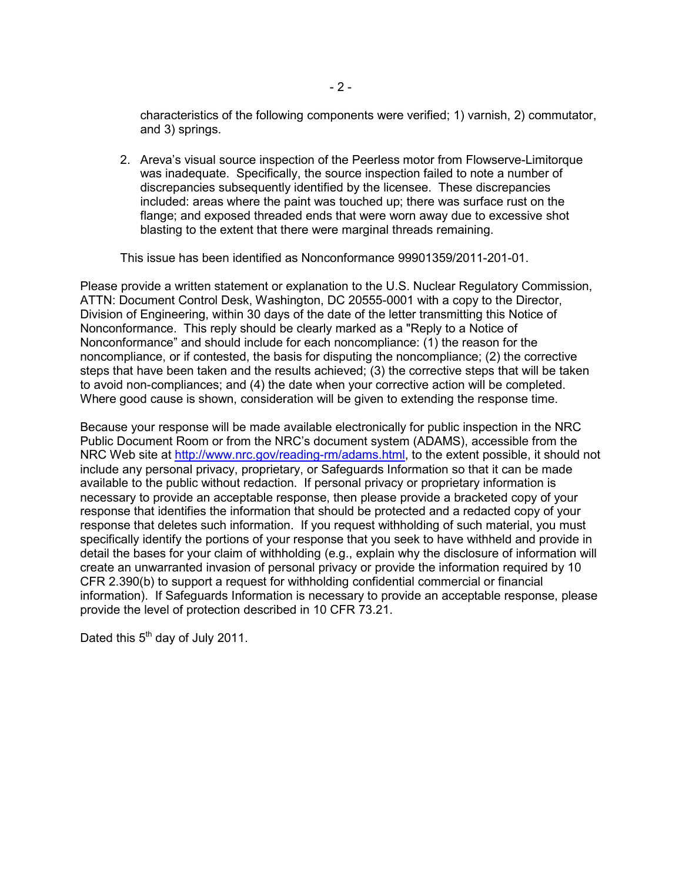characteristics of the following components were verified; 1) varnish, 2) commutator, and 3) springs.

2. Areva's visual source inspection of the Peerless motor from Flowserve-Limitorque was inadequate. Specifically, the source inspection failed to note a number of discrepancies subsequently identified by the licensee. These discrepancies included: areas where the paint was touched up; there was surface rust on the flange; and exposed threaded ends that were worn away due to excessive shot blasting to the extent that there were marginal threads remaining.

This issue has been identified as Nonconformance 99901359/2011-201-01.

Please provide a written statement or explanation to the U.S. Nuclear Regulatory Commission, ATTN: Document Control Desk, Washington, DC 20555-0001 with a copy to the Director, Division of Engineering, within 30 days of the date of the letter transmitting this Notice of Nonconformance. This reply should be clearly marked as a "Reply to a Notice of Nonconformance" and should include for each noncompliance: (1) the reason for the noncompliance, or if contested, the basis for disputing the noncompliance; (2) the corrective steps that have been taken and the results achieved; (3) the corrective steps that will be taken to avoid non-compliances; and (4) the date when your corrective action will be completed. Where good cause is shown, consideration will be given to extending the response time.

Because your response will be made available electronically for public inspection in the NRC Public Document Room or from the NRC's document system (ADAMS), accessible from the NRC Web site at http://www.nrc.gov/reading-rm/adams.html, to the extent possible, it should not include any personal privacy, proprietary, or Safeguards Information so that it can be made available to the public without redaction. If personal privacy or proprietary information is necessary to provide an acceptable response, then please provide a bracketed copy of your response that identifies the information that should be protected and a redacted copy of your response that deletes such information. If you request withholding of such material, you must specifically identify the portions of your response that you seek to have withheld and provide in detail the bases for your claim of withholding (e.g., explain why the disclosure of information will create an unwarranted invasion of personal privacy or provide the information required by 10 CFR 2.390(b) to support a request for withholding confidential commercial or financial information). If Safeguards Information is necessary to provide an acceptable response, please provide the level of protection described in 10 CFR 73.21.

Dated this  $5<sup>th</sup>$  day of July 2011.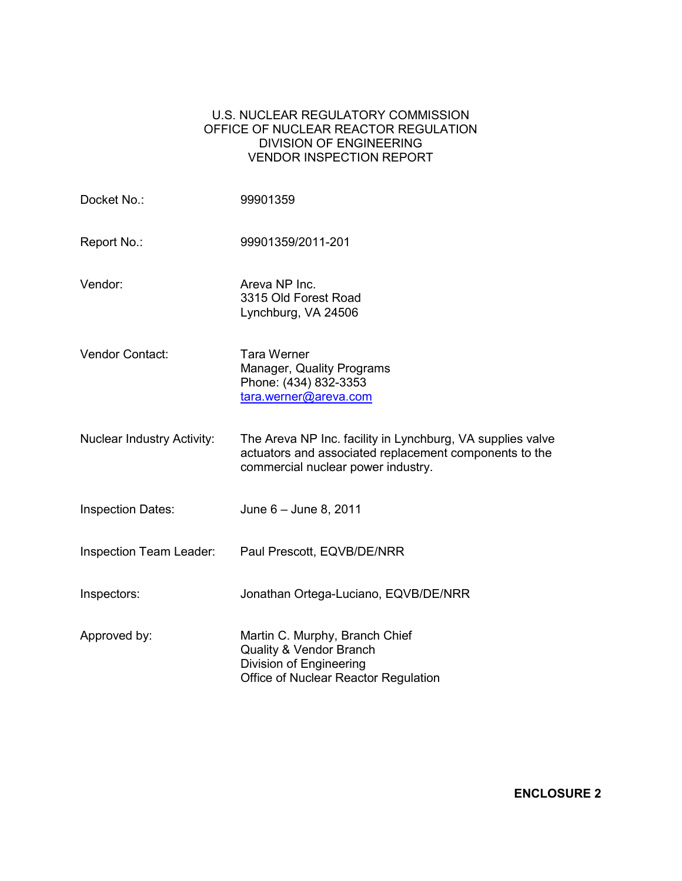## U.S. NUCLEAR REGULATORY COMMISSION OFFICE OF NUCLEAR REACTOR REGULATION DIVISION OF ENGINEERING VENDOR INSPECTION REPORT

| Docket No.:                       | 99901359                                                                                                                                                   |
|-----------------------------------|------------------------------------------------------------------------------------------------------------------------------------------------------------|
| Report No.:                       | 99901359/2011-201                                                                                                                                          |
| Vendor:                           | Areva NP Inc.<br>3315 Old Forest Road<br>Lynchburg, VA 24506                                                                                               |
| Vendor Contact:                   | <b>Tara Werner</b><br>Manager, Quality Programs<br>Phone: (434) 832-3353<br>tara.werner@areva.com                                                          |
| <b>Nuclear Industry Activity:</b> | The Areva NP Inc. facility in Lynchburg, VA supplies valve<br>actuators and associated replacement components to the<br>commercial nuclear power industry. |
| <b>Inspection Dates:</b>          | June 6 - June 8, 2011                                                                                                                                      |
| <b>Inspection Team Leader:</b>    | Paul Prescott, EQVB/DE/NRR                                                                                                                                 |
| Inspectors:                       | Jonathan Ortega-Luciano, EQVB/DE/NRR                                                                                                                       |
| Approved by:                      | Martin C. Murphy, Branch Chief<br><b>Quality &amp; Vendor Branch</b><br>Division of Engineering<br>Office of Nuclear Reactor Regulation                    |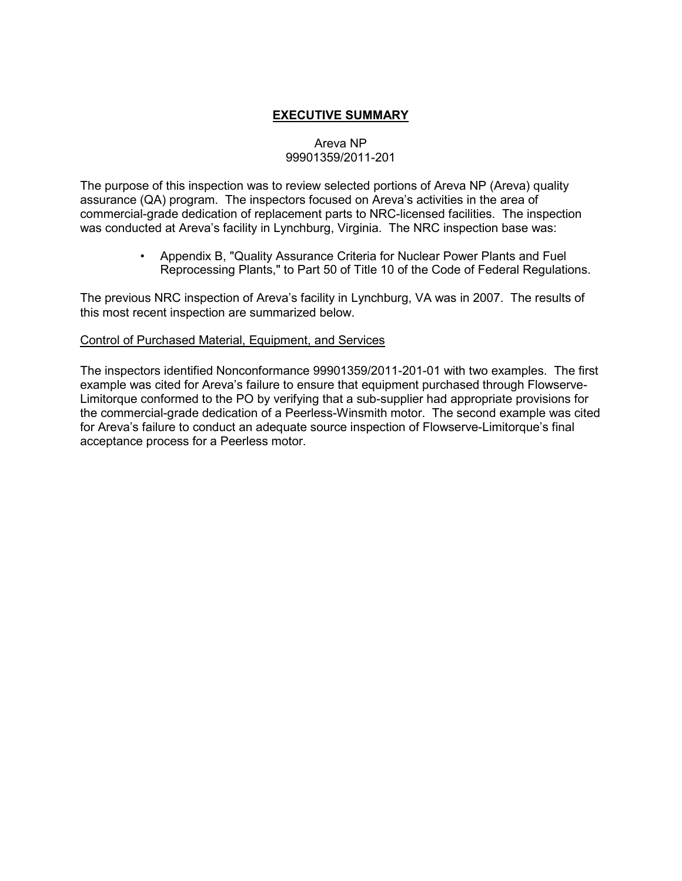# **EXECUTIVE SUMMARY**

# Areva NP 99901359/2011-201

The purpose of this inspection was to review selected portions of Areva NP (Areva) quality assurance (QA) program. The inspectors focused on Areva's activities in the area of commercial-grade dedication of replacement parts to NRC-licensed facilities. The inspection was conducted at Areva's facility in Lynchburg, Virginia. The NRC inspection base was:

> • Appendix B, "Quality Assurance Criteria for Nuclear Power Plants and Fuel Reprocessing Plants," to Part 50 of Title 10 of the Code of Federal Regulations.

The previous NRC inspection of Areva's facility in Lynchburg, VA was in 2007. The results of this most recent inspection are summarized below.

### Control of Purchased Material, Equipment, and Services

The inspectors identified Nonconformance 99901359/2011-201-01 with two examples. The first example was cited for Areva's failure to ensure that equipment purchased through Flowserve-Limitorque conformed to the PO by verifying that a sub-supplier had appropriate provisions for the commercial-grade dedication of a Peerless-Winsmith motor. The second example was cited for Areva's failure to conduct an adequate source inspection of Flowserve-Limitorque's final acceptance process for a Peerless motor.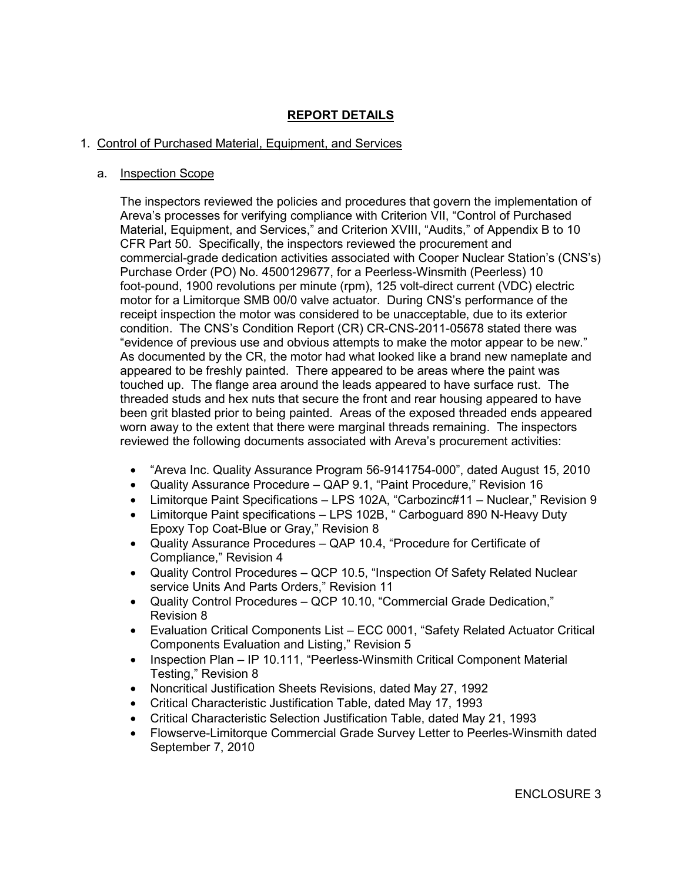# **REPORT DETAILS**

# 1. Control of Purchased Material, Equipment, and Services

## a. Inspection Scope

The inspectors reviewed the policies and procedures that govern the implementation of Areva's processes for verifying compliance with Criterion VII, "Control of Purchased Material, Equipment, and Services," and Criterion XVIII, "Audits," of Appendix B to 10 CFR Part 50. Specifically, the inspectors reviewed the procurement and commercial-grade dedication activities associated with Cooper Nuclear Station's (CNS's) Purchase Order (PO) No. 4500129677, for a Peerless-Winsmith (Peerless) 10 foot-pound, 1900 revolutions per minute (rpm), 125 volt-direct current (VDC) electric motor for a Limitorque SMB 00/0 valve actuator. During CNS's performance of the receipt inspection the motor was considered to be unacceptable, due to its exterior condition. The CNS's Condition Report (CR) CR-CNS-2011-05678 stated there was "evidence of previous use and obvious attempts to make the motor appear to be new." As documented by the CR, the motor had what looked like a brand new nameplate and appeared to be freshly painted. There appeared to be areas where the paint was touched up. The flange area around the leads appeared to have surface rust. The threaded studs and hex nuts that secure the front and rear housing appeared to have been grit blasted prior to being painted. Areas of the exposed threaded ends appeared worn away to the extent that there were marginal threads remaining. The inspectors reviewed the following documents associated with Areva's procurement activities:

- "Areva Inc. Quality Assurance Program 56-9141754-000", dated August 15, 2010
- Quality Assurance Procedure QAP 9.1, "Paint Procedure," Revision 16
- Limitorque Paint Specifications LPS 102A, "Carbozinc#11 Nuclear," Revision 9
- Limitorque Paint specifications LPS 102B, "Carboguard 890 N-Heavy Duty Epoxy Top Coat-Blue or Gray," Revision 8
- Quality Assurance Procedures QAP 10.4, "Procedure for Certificate of Compliance," Revision 4
- Quality Control Procedures QCP 10.5, "Inspection Of Safety Related Nuclear service Units And Parts Orders," Revision 11
- Quality Control Procedures QCP 10.10, "Commercial Grade Dedication," Revision 8
- Evaluation Critical Components List ECC 0001, "Safety Related Actuator Critical Components Evaluation and Listing," Revision 5
- Inspection Plan IP 10.111, "Peerless-Winsmith Critical Component Material Testing," Revision 8
- Noncritical Justification Sheets Revisions, dated May 27, 1992
- Critical Characteristic Justification Table, dated May 17, 1993
- Critical Characteristic Selection Justification Table, dated May 21, 1993
- Flowserve-Limitorque Commercial Grade Survey Letter to Peerles-Winsmith dated September 7, 2010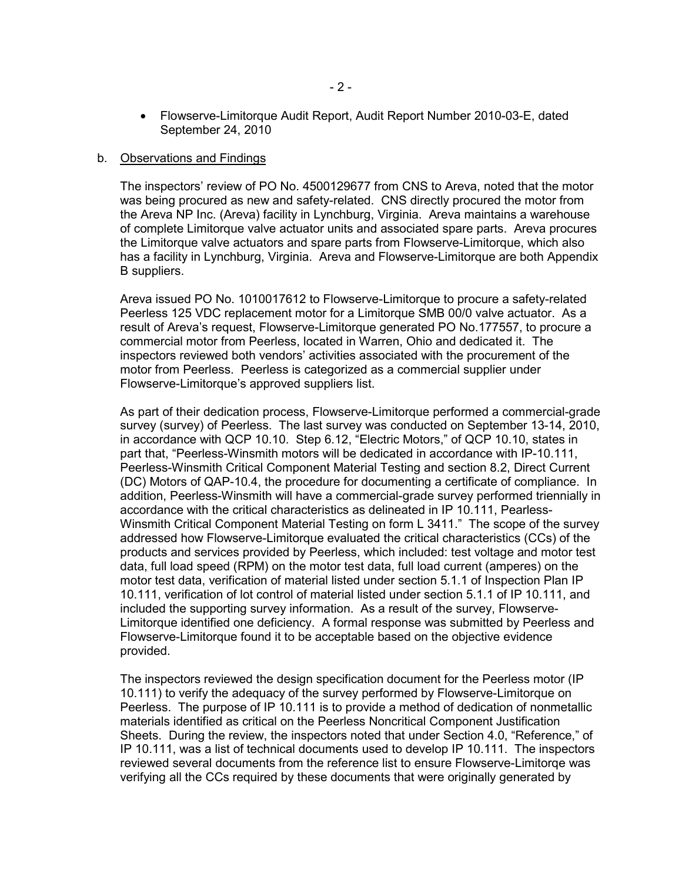• Flowserve-Limitorque Audit Report, Audit Report Number 2010-03-E, dated September 24, 2010

#### b. Observations and Findings

The inspectors' review of PO No. 4500129677 from CNS to Areva, noted that the motor was being procured as new and safety-related. CNS directly procured the motor from the Areva NP Inc. (Areva) facility in Lynchburg, Virginia. Areva maintains a warehouse of complete Limitorque valve actuator units and associated spare parts. Areva procures the Limitorque valve actuators and spare parts from Flowserve-Limitorque, which also has a facility in Lynchburg, Virginia. Areva and Flowserve-Limitorque are both Appendix B suppliers.

Areva issued PO No. 1010017612 to Flowserve-Limitorque to procure a safety-related Peerless 125 VDC replacement motor for a Limitorque SMB 00/0 valve actuator. As a result of Areva's request, Flowserve-Limitorque generated PO No.177557, to procure a commercial motor from Peerless, located in Warren, Ohio and dedicated it. The inspectors reviewed both vendors' activities associated with the procurement of the motor from Peerless. Peerless is categorized as a commercial supplier under Flowserve-Limitorque's approved suppliers list.

As part of their dedication process, Flowserve-Limitorque performed a commercial-grade survey (survey) of Peerless. The last survey was conducted on September 13-14, 2010, in accordance with QCP 10.10. Step 6.12, "Electric Motors," of QCP 10.10, states in part that, "Peerless-Winsmith motors will be dedicated in accordance with IP-10.111, Peerless-Winsmith Critical Component Material Testing and section 8.2, Direct Current (DC) Motors of QAP-10.4, the procedure for documenting a certificate of compliance. In addition, Peerless-Winsmith will have a commercial-grade survey performed triennially in accordance with the critical characteristics as delineated in IP 10.111, Pearless-Winsmith Critical Component Material Testing on form L 3411." The scope of the survey addressed how Flowserve-Limitorque evaluated the critical characteristics (CCs) of the products and services provided by Peerless, which included: test voltage and motor test data, full load speed (RPM) on the motor test data, full load current (amperes) on the motor test data, verification of material listed under section 5.1.1 of Inspection Plan IP 10.111, verification of lot control of material listed under section 5.1.1 of IP 10.111, and included the supporting survey information. As a result of the survey, Flowserve-Limitorque identified one deficiency. A formal response was submitted by Peerless and Flowserve-Limitorque found it to be acceptable based on the objective evidence provided.

The inspectors reviewed the design specification document for the Peerless motor (IP 10.111) to verify the adequacy of the survey performed by Flowserve-Limitorque on Peerless. The purpose of IP 10.111 is to provide a method of dedication of nonmetallic materials identified as critical on the Peerless Noncritical Component Justification Sheets. During the review, the inspectors noted that under Section 4.0, "Reference," of IP 10.111, was a list of technical documents used to develop IP 10.111. The inspectors reviewed several documents from the reference list to ensure Flowserve-Limitorqe was verifying all the CCs required by these documents that were originally generated by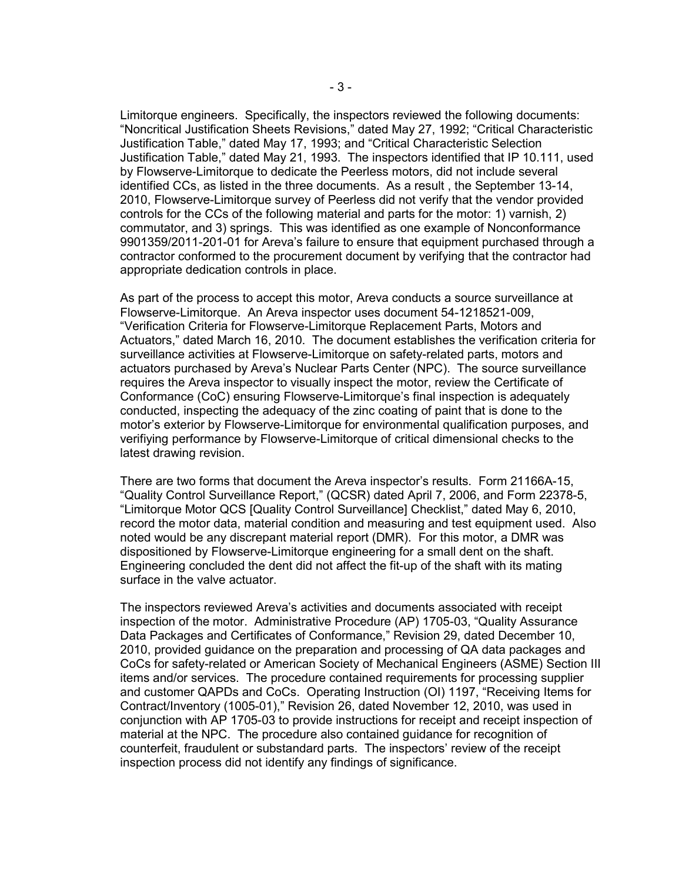Limitorque engineers. Specifically, the inspectors reviewed the following documents: "Noncritical Justification Sheets Revisions," dated May 27, 1992; "Critical Characteristic Justification Table," dated May 17, 1993; and "Critical Characteristic Selection Justification Table," dated May 21, 1993. The inspectors identified that IP 10.111, used by Flowserve-Limitorque to dedicate the Peerless motors, did not include several identified CCs, as listed in the three documents. As a result , the September 13-14, 2010, Flowserve-Limitorque survey of Peerless did not verify that the vendor provided controls for the CCs of the following material and parts for the motor: 1) varnish, 2) commutator, and 3) springs. This was identified as one example of Nonconformance 9901359/2011-201-01 for Areva's failure to ensure that equipment purchased through a contractor conformed to the procurement document by verifying that the contractor had appropriate dedication controls in place.

As part of the process to accept this motor, Areva conducts a source surveillance at Flowserve-Limitorque. An Areva inspector uses document 54-1218521-009, "Verification Criteria for Flowserve-Limitorque Replacement Parts, Motors and Actuators," dated March 16, 2010. The document establishes the verification criteria for surveillance activities at Flowserve-Limitorque on safety-related parts, motors and actuators purchased by Areva's Nuclear Parts Center (NPC). The source surveillance requires the Areva inspector to visually inspect the motor, review the Certificate of Conformance (CoC) ensuring Flowserve-Limitorque's final inspection is adequately conducted, inspecting the adequacy of the zinc coating of paint that is done to the motor's exterior by Flowserve-Limitorque for environmental qualification purposes, and verifiying performance by Flowserve-Limitorque of critical dimensional checks to the latest drawing revision.

There are two forms that document the Areva inspector's results. Form 21166A-15, "Quality Control Surveillance Report," (QCSR) dated April 7, 2006, and Form 22378-5, "Limitorque Motor QCS [Quality Control Surveillance] Checklist," dated May 6, 2010, record the motor data, material condition and measuring and test equipment used. Also noted would be any discrepant material report (DMR). For this motor, a DMR was dispositioned by Flowserve-Limitorque engineering for a small dent on the shaft. Engineering concluded the dent did not affect the fit-up of the shaft with its mating surface in the valve actuator.

The inspectors reviewed Areva's activities and documents associated with receipt inspection of the motor. Administrative Procedure (AP) 1705-03, "Quality Assurance Data Packages and Certificates of Conformance," Revision 29, dated December 10, 2010, provided guidance on the preparation and processing of QA data packages and CoCs for safety-related or American Society of Mechanical Engineers (ASME) Section III items and/or services. The procedure contained requirements for processing supplier and customer QAPDs and CoCs. Operating Instruction (OI) 1197, "Receiving Items for Contract/Inventory (1005-01)," Revision 26, dated November 12, 2010, was used in conjunction with AP 1705-03 to provide instructions for receipt and receipt inspection of material at the NPC. The procedure also contained guidance for recognition of counterfeit, fraudulent or substandard parts. The inspectors' review of the receipt inspection process did not identify any findings of significance.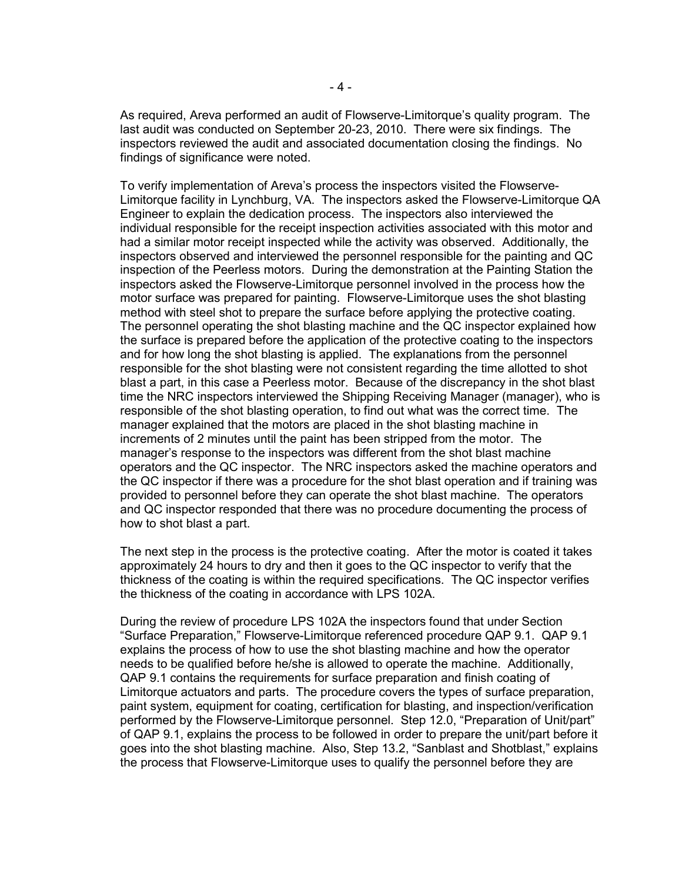As required, Areva performed an audit of Flowserve-Limitorque's quality program. The last audit was conducted on September 20-23, 2010. There were six findings. The inspectors reviewed the audit and associated documentation closing the findings. No findings of significance were noted.

To verify implementation of Areva's process the inspectors visited the Flowserve-Limitorque facility in Lynchburg, VA. The inspectors asked the Flowserve-Limitorque QA Engineer to explain the dedication process. The inspectors also interviewed the individual responsible for the receipt inspection activities associated with this motor and had a similar motor receipt inspected while the activity was observed. Additionally, the inspectors observed and interviewed the personnel responsible for the painting and QC inspection of the Peerless motors. During the demonstration at the Painting Station the inspectors asked the Flowserve-Limitorque personnel involved in the process how the motor surface was prepared for painting. Flowserve-Limitorque uses the shot blasting method with steel shot to prepare the surface before applying the protective coating. The personnel operating the shot blasting machine and the QC inspector explained how the surface is prepared before the application of the protective coating to the inspectors and for how long the shot blasting is applied. The explanations from the personnel responsible for the shot blasting were not consistent regarding the time allotted to shot blast a part, in this case a Peerless motor. Because of the discrepancy in the shot blast time the NRC inspectors interviewed the Shipping Receiving Manager (manager), who is responsible of the shot blasting operation, to find out what was the correct time. The manager explained that the motors are placed in the shot blasting machine in increments of 2 minutes until the paint has been stripped from the motor. The manager's response to the inspectors was different from the shot blast machine operators and the QC inspector. The NRC inspectors asked the machine operators and the QC inspector if there was a procedure for the shot blast operation and if training was provided to personnel before they can operate the shot blast machine. The operators and QC inspector responded that there was no procedure documenting the process of how to shot blast a part.

The next step in the process is the protective coating. After the motor is coated it takes approximately 24 hours to dry and then it goes to the QC inspector to verify that the thickness of the coating is within the required specifications. The QC inspector verifies the thickness of the coating in accordance with LPS 102A.

During the review of procedure LPS 102A the inspectors found that under Section "Surface Preparation," Flowserve-Limitorque referenced procedure QAP 9.1. QAP 9.1 explains the process of how to use the shot blasting machine and how the operator needs to be qualified before he/she is allowed to operate the machine. Additionally, QAP 9.1 contains the requirements for surface preparation and finish coating of Limitorque actuators and parts. The procedure covers the types of surface preparation, paint system, equipment for coating, certification for blasting, and inspection/verification performed by the Flowserve-Limitorque personnel. Step 12.0, "Preparation of Unit/part" of QAP 9.1, explains the process to be followed in order to prepare the unit/part before it goes into the shot blasting machine. Also, Step 13.2, "Sanblast and Shotblast," explains the process that Flowserve-Limitorque uses to qualify the personnel before they are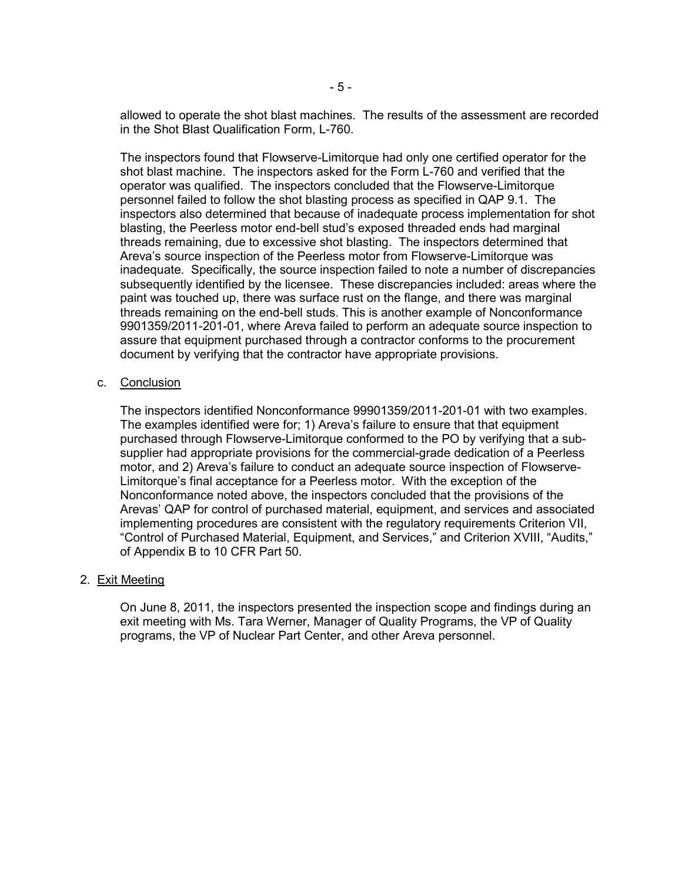allowed to operate the shot blast machines. The results of the assessment are recorded in the Shot Blast Qualification Form, L-760.

The inspectors found that Flowserve-Limitorque had only one certified operator for the shot blast machine. The inspectors asked for the Form L-760 and verified that the operator was qualified. The inspectors concluded that the Flowserve-Limitorque personnel failed to follow the shot blasting process as specified in QAP 9.1. The inspectors also determined that because of inadequate process implementation for shot blasting, the Peerless motor end-bell stud's exposed threaded ends had marginal threads remaining, due to excessive shot blasting. The inspectors determined that Areva's source inspection of the Peerless motor from Flowserve-Limitorque was inadequate. Specifically, the source inspection failed to note a number of discrepancies subsequently identified by the licensee. These discrepancies included: areas where the paint was touched up, there was surface rust on the flange, and there was marginal threads remaining on the end-bell studs. This is another example of Nonconformance 9901359/2011-201-01, where Areva failed to perform an adequate source inspection to assure that equipment purchased through a contractor conforms to the procurement document by verifying that the contractor have appropriate provisions.

### c. Conclusion

The inspectors identified Nonconformance 99901359/2011-201-01 with two examples. The examples identified were for; 1) Areva's failure to ensure that that equipment purchased through Flowserve-Limitorque conformed to the PO by verifying that a subsupplier had appropriate provisions for the commercial-grade dedication of a Peerless motor, and 2) Areva's failure to conduct an adequate source inspection of Flowserve-Limitorque's final acceptance for a Peerless motor. With the exception of the Nonconformance noted above, the inspectors concluded that the provisions of the Arevas' QAP for control of purchased material, equipment, and services and associated implementing procedures are consistent with the regulatory requirements Criterion VII, "Control of Purchased Material, Equipment, and Services," and Criterion XVIII, "Audits," of Appendix B to 10 CFR Part 50.

#### 2. Exit Meeting

On June 8, 2011, the inspectors presented the inspection scope and findings during an exit meeting with Ms. Tara Werner, Manager of Quality Programs, the VP of Quality programs, the VP of Nuclear Part Center, and other Areva personnel.